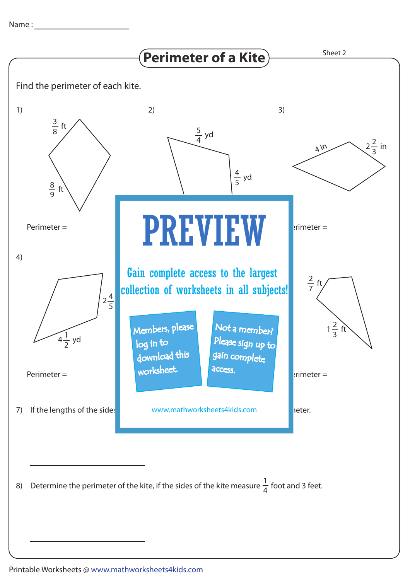